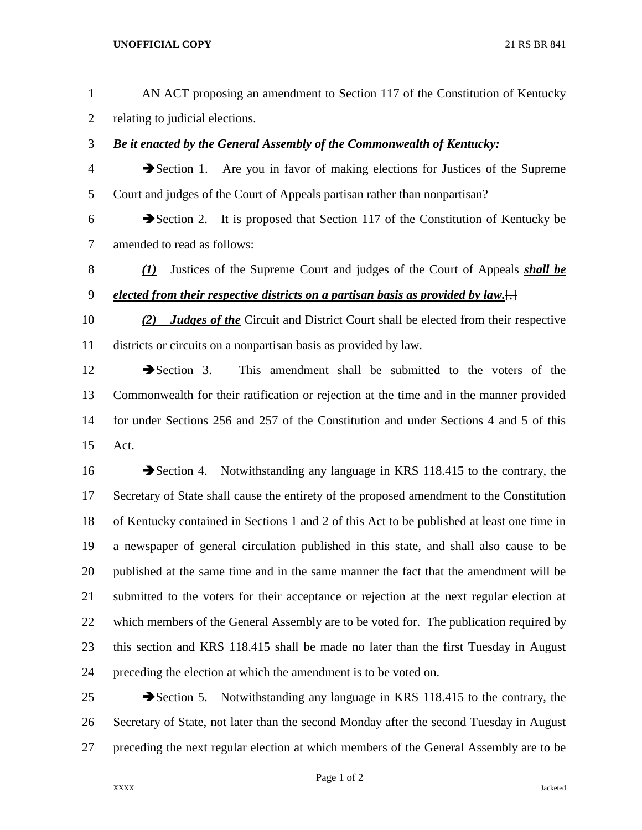## **UNOFFICIAL COPY** 21 RS BR 841

| $\mathbf{1}$   | AN ACT proposing an amendment to Section 117 of the Constitution of Kentucky                         |
|----------------|------------------------------------------------------------------------------------------------------|
| $\overline{2}$ | relating to judicial elections.                                                                      |
| 3              | Be it enacted by the General Assembly of the Commonwealth of Kentucky:                               |
| $\overline{4}$ | Section 1. Are you in favor of making elections for Justices of the Supreme                          |
| 5              | Court and judges of the Court of Appeals partisan rather than nonpartisan?                           |
| 6              | $\blacktriangleright$ Section 2. It is proposed that Section 117 of the Constitution of Kentucky be  |
| $\tau$         | amended to read as follows:                                                                          |
| $8\,$          | Justices of the Supreme Court and judges of the Court of Appeals shall be<br>$\mathcal{L}(I)$        |
| $\mathbf{9}$   | elected from their respective districts on a partisan basis as provided by law. $\left[\cdot\right]$ |
| 10             | <b>Judges of the Circuit and District Court shall be elected from their respective</b><br>(2)        |
| 11             | districts or circuits on a nonpartisan basis as provided by law.                                     |
| 12             | $\rightarrow$ Section 3.<br>This amendment shall be submitted to the voters of the                   |
| 13             | Commonwealth for their ratification or rejection at the time and in the manner provided              |
| 14             | for under Sections 256 and 257 of the Constitution and under Sections 4 and 5 of this                |
| 15             | Act.                                                                                                 |
| 16             | Section 4. Notwithstanding any language in KRS 118.415 to the contrary, the                          |
| 17             | Secretary of State shall cause the entirety of the proposed amendment to the Constitution            |
| 18             | of Kentucky contained in Sections 1 and 2 of this Act to be published at least one time in           |
| 19             | a newspaper of general circulation published in this state, and shall also cause to be               |
| 20             | published at the same time and in the same manner the fact that the amendment will be                |
| 21             | submitted to the voters for their acceptance or rejection at the next regular election at            |
| 22             | which members of the General Assembly are to be voted for. The publication required by               |
| 23             | this section and KRS 118.415 shall be made no later than the first Tuesday in August                 |
| 24             | preceding the election at which the amendment is to be voted on.                                     |
| 25             | Notwithstanding any language in KRS 118.415 to the contrary, the<br>$\rightarrow$ Section 5.         |
| 26             | Secretary of State, not later than the second Monday after the second Tuesday in August              |
| 27             | preceding the next regular election at which members of the General Assembly are to be               |

Page 1 of 2